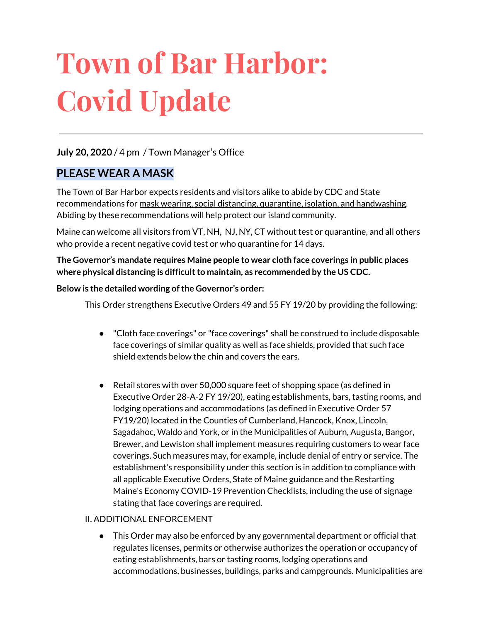# **Town of Bar Harbor: Covid Update**

#### **July 20, 2020** / 4 pm / Town Manager's Office

#### **PLEASE WEAR A MASK**

The Town of Bar Harbor expects residents and visitors alike to abide by CDC and State recommendations for mask wearing, social distancing, quarantine, isolation, and handwashing. Abiding by these recommendations will help protect our island community.

Maine can welcome all visitors from VT, NH, NJ, NY, CT without test or quarantine, and all others who provide a recent negative covid test or who quarantine for 14 days.

**The Governor's mandate requires Maine people to wear cloth face coverings in public places where physical distancing is difficultto maintain, as recommended by the US CDC.**

#### **Below is the detailed wording of the Governor's order:**

This Order strengthens Executive Orders 49 and 55 FY 19/20 by providing the following:

- "Cloth face coverings" or "face coverings" shall be construed to include disposable face coverings of similar quality as well as face shields, provided that such face shield extends below the chin and covers the ears.
- Retail stores with over 50,000 square feet of shopping space (as defined in Executive Order 28-A-2 FY 19/20), eating establishments, bars, tasting rooms, and lodging operations and accommodations (as defined in Executive Order 57 FY19/20) located in the Counties of Cumberland, Hancock, Knox, Lincoln, Sagadahoc, Waldo and York, or in the Municipalities of Auburn, Augusta, Bangor, Brewer, and Lewiston shall implement measures requiring customers to wear face coverings. Such measures may, for example, include denial of entry or service. The establishment's responsibility under this section is in addition to compliance with all applicable Executive Orders, State of Maine guidance and the Restarting Maine's Economy COVID-19 Prevention Checklists, including the use of signage stating that face coverings are required.

#### II. ADDITIONAL ENFORCEMENT

● This Order may also be enforced by any governmental department or official that regulates licenses, permits or otherwise authorizes the operation or occupancy of eating establishments, bars or tasting rooms, lodging operations and accommodations, businesses, buildings, parks and campgrounds. Municipalities are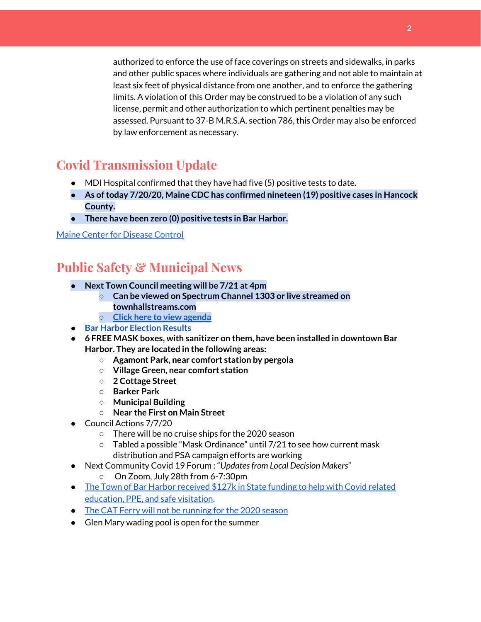authorized to enforce the use of face coverings on streets and sidewalks, in parks and other public spaces where individuals are gathering and not able to maintain at least six feet of physical distance from one another, and to enforce the gathering limits. A violation of this Order may be construed to be a violation of any such license, permit and other authorization to which pertinent penalties may be assessed. Pursuant to 37-B M.R.S.A. section 786, this Order may also be enforced by law enforcement as necessary.

## **Covid Transmission Update**

- MDI Hospital confirmed that they have had five (5) positive tests to date.
- **● As oftoday 7/20/20, Maine CDC has confirmed nineteen (19) positive cases in Hancock County.**
- **● There have been zero (0) positive tests in Bar Harbor.**

#### Maine Center for [Disease](https://www.maine.gov/dhhs/mecdc/infectious-disease/epi/airborne/coronavirus.shtml) Control

### **Public Safety & Municipal News**

- **● Next Town Council meeting will be 7/21 at 4pm**
	- **○ Can be viewed on Spectrum Channel 1303 or live streamed on townhallstreams.com**
	- **○ Click here to view [agenda](http://www.barharbormaine.gov/AgendaCenter/ViewFile/Agenda/_07212020-2537)**
- **● Bar Harbor [Election](http://www.barharbormaine.gov/CivicAlerts.aspx?AID=703) Results**
- **● 6 FREE MASK boxes, with sanitizer on them, have been installed in downtown Bar Harbor. They are located in the following areas:**
	- **○ Agamont Park, near comfort station by pergola**
	- **○ Village Green, near comfort station**
	- **○ 2 Cottage Street**
	- **○ Barker Park**
	- **○ Municipal Building**
	- **○ Near the First on Main Street**
- Council Actions 7/7/20
	- There will be no cruise ships for the 2020 season
	- Tabled a possible "Mask Ordinance" until 7/21 to see how current mask distribution and PSA campaign efforts are working
- Next Community Covid 19 Forum : "*Updatesfrom Local Decision Makers*" On Zoom, July 28th from 6-7:30pm
- The Town of Bar Harbor [received](https://www.maine.gov/governor/mills/news/mills-administration-approves-covid-19-prevention-and-protection-grant-awards-municipalities) \$127k in State funding to help with Covid related [education,](https://www.maine.gov/governor/mills/news/mills-administration-approves-covid-19-prevention-and-protection-grant-awards-municipalities) PPE, and safe visitation.
- The CAT Ferry will not be [running](https://www.ferries.ca/) for the 2020 season
- Glen Mary wading pool is open for the summer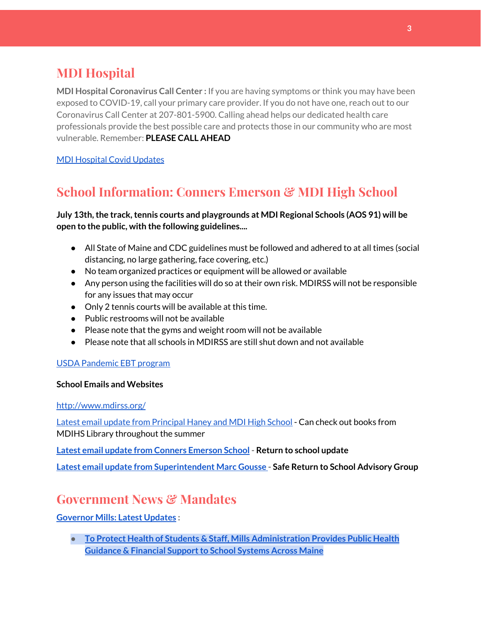## **MDI Hospital**

**MDI Hospital Coronavirus Call Center :** If you are having symptoms or think you may have been exposed to COVID-19, call your primary care provider. If you do not have one, reach out to our Coronavirus Call Center at 207-801-5900. Calling ahead helps our dedicated health care professionals provide the best possible care and protects those in our community who are most vulnerable. Remember: **PLEASE CALL AHEAD**

MDI [Hospital](https://www.mdihospital.org/covid-19/?fbclid=IwAR2Q31t4a6H1pxDfUeqSzFcmp5UbRlSwe93i58zEkHstfexp5EgoHB5cxGU) Covid Updates

# **School Information: Conners Emerson & MDI High School**

**July 13th,the track,tennis courts and playgrounds at MDI Regional Schools (AOS 91) will be open to the public, with the following guidelines....**

- All State of Maine and CDC guidelines must be followed and adhered to at all times (social distancing, no large gathering, face covering, etc.)
- No team organized practices or equipment will be allowed or available
- Any person using the facilities will do so at their own risk. MDIRSS will not be responsible for any issues that may occur
- Only 2 tennis courts will be available at this time.
- Public restrooms will not be available
- Please note that the gyms and weight room will not be available
- Please note that all schools in MDIRSS are still shut down and not available

#### USDA [Pandemic](http://track.spe.schoolmessenger.com/f/a/j6GQx4nFl3Rld4Q68tYCuA~~/AAAAAQA~/RgRgu5_JP0SlaHR0cHM6Ly9tYWlsLmdvb2dsZS5jb20vbWFpbC91LzAvP3RhYj1jbSNzZWFyY2gvZnJvbSUzQStiZWVzbGV5L1doY3RLSlZyQ0NUS1JmUldCTFdkUVpGZ2pUVlhNdkRwUVpIa2NoRkJCc3NGcHJxZEtnWFF3S05Tamt3R1RxTFpaS21wTkRHP3Byb2plY3Rvcj0xJm1lc3NhZ2VQYXJ0SWQ9MC4xVwdzY2hvb2xtQgoARkls2l72Ls-jUhhiYXJoYXJib3JqZXdlbEBnbWFpbC5jb21YBAAAAAE~) EBT program

#### **School Emails and Websites**

<http://www.mdirss.org/>

Latest email update from [Principal](https://docs.google.com/document/d/1OKDsYNtOgV0FI9xAcXwQvenOKLV0S2vBg1o5jtu5CrE/edit?usp=sharing) Haney and MDI High School - Can check out books from MDIHS Library throughout the summer

**Latest email update from Conners [Emerson](https://docs.google.com/document/d/1v3pgkG6Q-9S3gisuUIj4etPVDwgBKl4P00JBkvZr-kk/edit?usp=sharing) School - Return to school update**

**Latest email update from [Superintendent](https://docs.google.com/document/d/1fzeCbc8gpTSKmUaDoQH1Avx5PVl-h0reFphXrT1eUNA/edit?usp=sharing) Marc Gousse - Safe Return to School Advisory Group**

## **Government News & Mandates**

**[Governor](https://www.maine.gov/governor/mills/) Mills: Latest Updates :**

**● To Protect Health of Students & Staff, Mills [Administration](https://www.maine.gov/governor/mills/news/protect-health-students-staff-mills-administration-provides-public-health-guidance-financial) Provides Public Health Guidance & Financial Support to School Systems Across Maine**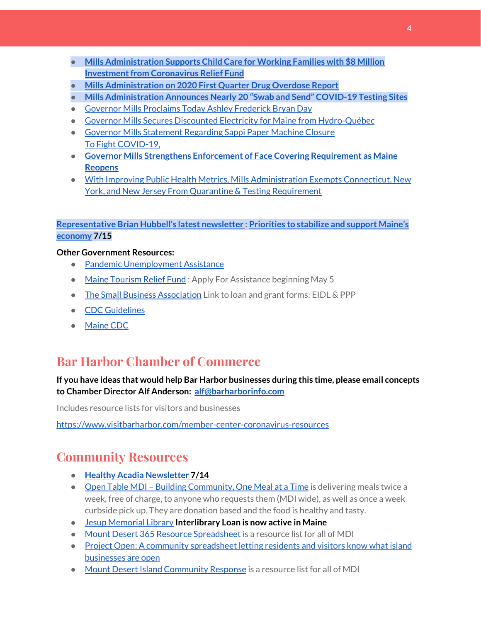- **● Mills [Administration](https://www.maine.gov/governor/mills/news/mills-administration-supports-child-care-working-families-8-million-investment-coronavirus) Supports Child Care for Working Families with \$8 Million Investment from Coronavirus Relief Fund**
- **● Mills [Administration](https://www.maine.gov/governor/mills/news/mills-administration-2020-first-quarter-drug-overdose-report-2020-07-17) on 2020 First Quarter Drug Overdose Report**
- **● Mills [Administration](https://www.maine.gov/governor/mills/news/mills-administration-announces-nearly-20-swab-and-send-covid-19-testing-sites-2020-07-14) Announces Nearly 20 "Swab and Send" COVID-19 Testing Sites**
- Governor Mills [Proclaims](https://www.maine.gov/governor/mills/news/governor-mills-proclaims-today-ashley-frederick-bryan-day-2020-07-13) Today Ashley Frederick Bryan Day
- Governor Mills Secures Discounted Electricity for Maine from [Hydro-Québec](https://www.maine.gov/governor/mills/news/governor-mills-secures-discounted-electricity-maine-hydro-quebec-2020-07-10)
- Governor Mills [Statement](https://www.maine.gov/governor/mills/news/governor-mills-statement-regarding-sappi-paper-machine-closure-2020-07-09) Regarding Sappi Paper Machine Closure To Fight [COVID-19,](https://www.maine.gov/governor/mills/news/fight-covid-19-governor-mills-strengthens-enforcement-face-covering-requirement-maine-reopens)
- **● Governor Mills Strengthens Enforcement of Face Covering [Requirement](https://www.maine.gov/governor/mills/news/fight-covid-19-governor-mills-strengthens-enforcement-face-covering-requirement-maine-reopens) as Maine [Reopens](https://www.maine.gov/governor/mills/news/fight-covid-19-governor-mills-strengthens-enforcement-face-covering-requirement-maine-reopens)**
- With Improving Public Health Metrics, Mills [Administration](https://www.maine.gov/governor/mills/news/improving-public-health-metrics-mills-administration-exempts-connecticut-new-york-and-new) Exempts Connecticut, New York, and New Jersey From Quarantine & Testing [Requirement](https://www.maine.gov/governor/mills/news/improving-public-health-metrics-mills-administration-exempts-connecticut-new-york-and-new)

#### **[Representative](http://www.rephubbell.com/) Brian Hubbell's latest newsletter : [Priorities](http://www.rephubbell.com/2020/07/15/priorities-to-stabilize-and-support-maines-economy/) to stabilize and support Maine's [economy](http://www.rephubbell.com/2020/07/15/priorities-to-stabilize-and-support-maines-economy/) 7/15**

#### **Other Government Resources:**

- Pandemic [Unemployment](https://www.maine.gov/unemployment/pua/) Assistance
- Maine [Tourism](https://www.mainetourism.com/maine-tourism-relief-fund/) Relief Fund: Apply For Assistance beginning May 5
- The Small Business [Association](https://www.sba.gov/) Link to loan and grant forms: EIDL & PPP
- CDC [Guidelines](https://www.cdc.gov/coronavirus/2019-nCoV/index.html)
- [Maine](https://www.maine.gov/dhhs/mecdc/infectious-disease/epi/airborne/coronavirus.shtml#news) CDC

## **Bar Harbor Chamber of Commerce**

#### **If you have ideas that would help Bar Harbor businesses during this time, please email concepts to Chamber Director Alf Anderson: [alf@barharborinfo.com](mailto:alf@barharborinfo.com)**

Includes resource lists for visitors and businesses

<https://www.visitbarharbor.com/member-center-coronavirus-resources>

## **Community Resources**

- **Healthy Acadia [Newsletter](https://mailchi.mp/healthyacadia.org/july14_2020?e=e6ccd2569f) [7](https://mailchi.mp/healthyacadia.org/july14_2020?e=e6ccd2569f)/14**
- Open Table MDI Building [Community,](https://www.opentablemdi.org/) One Meal at a Time is delivering meals twice a week, free of charge, to anyone who requests them (MDI wide), as well as once a week curbside pick up. They are donation based and the food is healthy and tasty.
- Jesup [Memorial](https://jesuplibrary.org/) Library **Interlibrary Loan is now active in Maine**
- Mount Desert 365 Resource [Spreadsheet](https://docs.google.com/spreadsheets/d/1okAx6HSsgXZY9CGH07Dzi6rqe7a6m4dLCPKot2Li7Ek/edit?usp=sharing) is a resource list for all of MDI
- Project Open: A community [spreadsheet](https://docs.google.com/spreadsheets/d/1dBicBiBXGzzWEFd9oqL7EBDbFWjDCPl6SSMea_Kt4pc/htmlview#) letting residents and visitors know what island [businesses](https://docs.google.com/spreadsheets/d/1dBicBiBXGzzWEFd9oqL7EBDbFWjDCPl6SSMea_Kt4pc/htmlview#) are open
- Mount Desert Island [Community](https://www.mdicr.org/) Response is a resource list for all of MDI